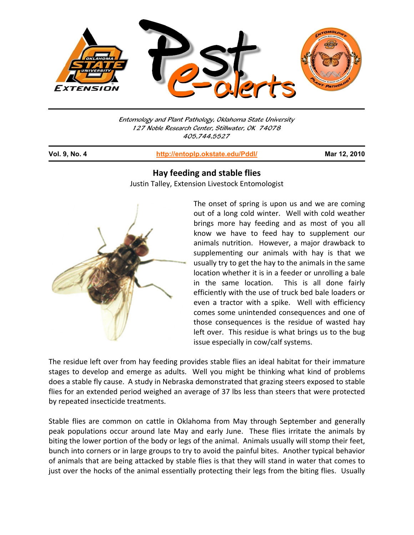

Entomology and Plant Pathology, Oklahoma State University 127 Noble Research Center, Stillwater, OK 74078 405.744.5527

j

**Vol. 9, No. 4 http://entoplp.okstate.edu/Pddl/ Mar 12, 2010**

## **Hay feeding and stable flies**

Justin Talley, Extension Livestock Entomologist



The onset of spring is upon us and we are coming out of a long cold winter. Well with cold weather brings more hay feeding and as most of you all know we have to feed hay to supplement our animals nutrition. However, a major drawback to supplementing our animals with hay is that we usually try to get the hay to the animals in the same location whether it is in a feeder or unrolling a bale in the same location. This is all done fairly efficiently with the use of truck bed bale loaders or even a tractor with a spike. Well with efficiency comes some unintended consequences and one of those consequences is the residue of wasted hay left over. This residue is what brings us to the bug issue especially in cow/calf systems.

The residue left over from hay feeding provides stable flies an ideal habitat for their immature stages to develop and emerge as adults. Well you might be thinking what kind of problems does a stable fly cause. A study in Nebraska demonstrated that grazing steers exposed to stable flies for an extended period weighed an average of 37 lbs less than steers that were protected by repeated insecticide treatments.

Stable flies are common on cattle in Oklahoma from May through September and generally peak populations occur around late May and early June. These flies irritate the animals by biting the lower portion of the body or legs of the animal. Animals usually will stomp their feet, bunch into corners or in large groups to try to avoid the painful bites. Another typical behavior of animals that are being attacked by stable flies is that they will stand in water that comes to just over the hocks of the animal essentially protecting their legs from the biting flies. Usually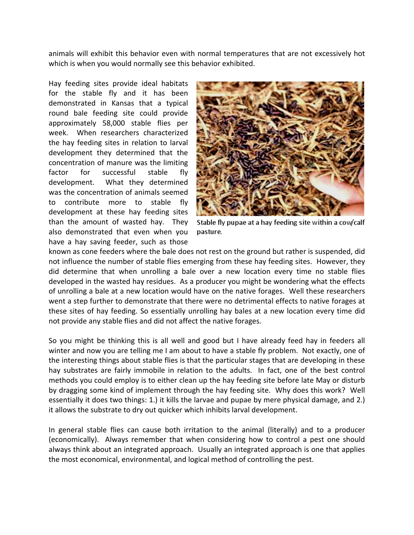animals will exhibit this behavior even with normal temperatures that are not excessively hot which is when you would normally see this behavior exhibited.

Hay feeding sites provide ideal habitats for the stable fly and it has been demonstrated in Kansas that a typical round bale feeding site could provide approximately 58,000 stable flies per week. When researchers characterized the hay feeding sites in relation to larval development they determined that the concentration of manure was the limiting factor for successful stable fly development. What they determined was the concentration of animals seemed to contribute more to stable fly development at these hay feeding sites than the amount of wasted hay. They also demonstrated that even when you have a hay saving feeder, such as those



Stable fly pupae at a hay feeding site within a cow/calf pasture.

known as cone feeders where the bale does not rest on the ground but rather is suspended, did not influence the number of stable flies emerging from these hay feeding sites. However, they did determine that when unrolling a bale over a new location every time no stable flies developed in the wasted hay residues. As a producer you might be wondering what the effects of unrolling a bale at a new location would have on the native forages. Well these researchers went a step further to demonstrate that there were no detrimental effects to native forages at these sites of hay feeding. So essentially unrolling hay bales at a new location every time did not provide any stable flies and did not affect the native forages.

So you might be thinking this is all well and good but I have already feed hay in feeders all winter and now you are telling me I am about to have a stable fly problem. Not exactly, one of the interesting things about stable flies is that the particular stages that are developing in these hay substrates are fairly immobile in relation to the adults. In fact, one of the best control methods you could employ is to either clean up the hay feeding site before late May or disturb by dragging some kind of implement through the hay feeding site. Why does this work? Well essentially it does two things: 1.) it kills the larvae and pupae by mere physical damage, and 2.) it allows the substrate to dry out quicker which inhibits larval development.

In general stable flies can cause both irritation to the animal (literally) and to a producer (economically). Always remember that when considering how to control a pest one should always think about an integrated approach. Usually an integrated approach is one that applies the most economical, environmental, and logical method of controlling the pest.